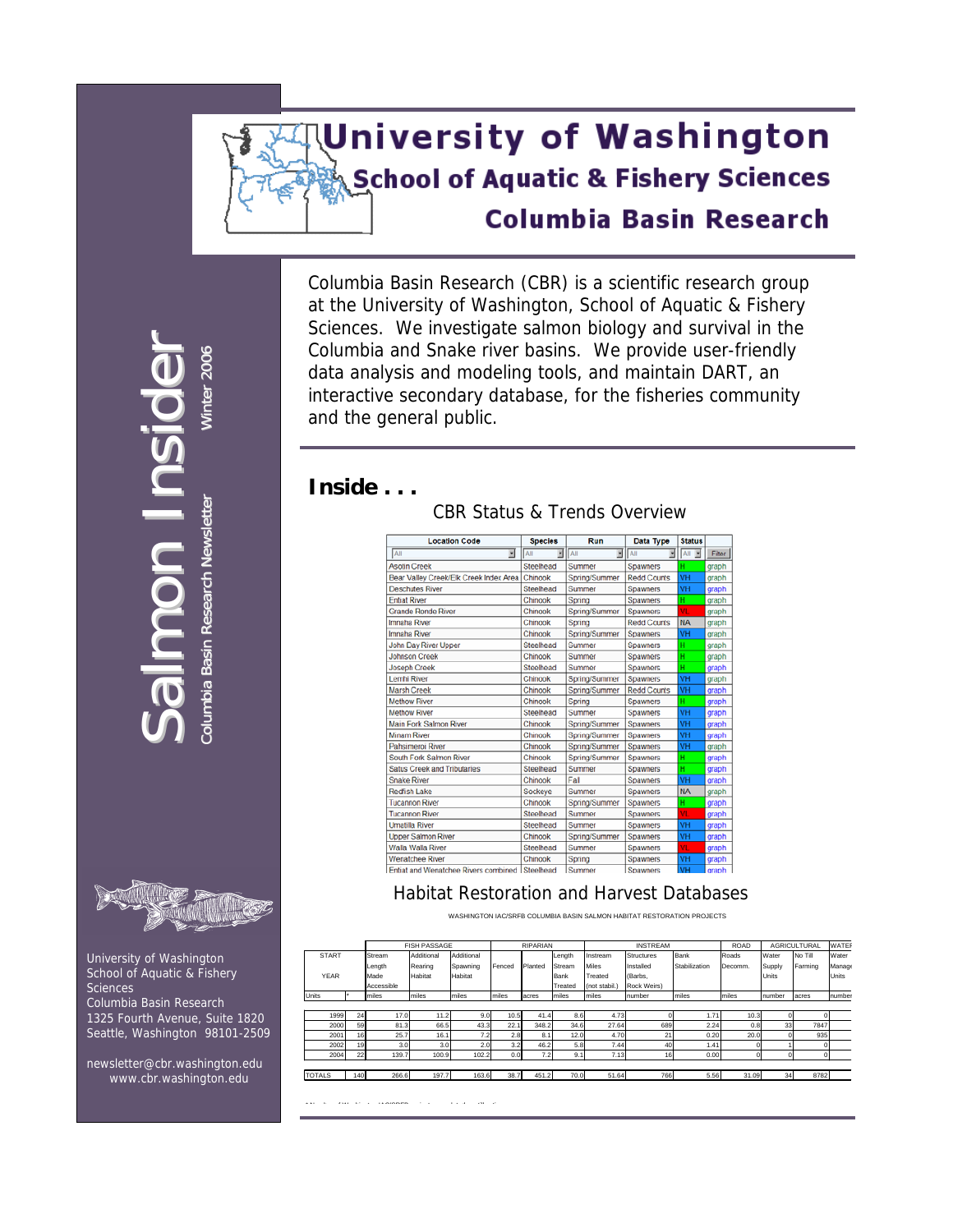# **University of Washington School of Aquatic & Fishery Sciences Columbia Basin Research**

Columbia Basin Research (CBR) is a scientific research group at the University of Washington, School of Aquatic & Fishery Sciences. We investigate salmon biology and survival in the Columbia and Snake river basins. We provide user-friendly data analysis and modeling tools, and maintain DART, an interactive secondary database, for the fisheries community and the general public.

### **Inside . . .**

| <b>Location Code</b> | <b>Species</b> | Run                 | Data Type | <b>Status</b> |  |
|----------------------|----------------|---------------------|-----------|---------------|--|
|                      |                | All                 |           |               |  |
| eek                  | Steelhead      | <sub>1</sub> Summer | Spawners  |               |  |
|                      |                |                     |           |               |  |

CBR Status & Trends Overview

| Ξ<br>All                                       | All       | <b>E</b> All  | $\overline{B}$ All | $\mathbb{E}$ All $\mathbb{E}$ | Filter |
|------------------------------------------------|-----------|---------------|--------------------|-------------------------------|--------|
| <b>Asotin Creek</b>                            | Steelhead | Summer        | Spawners           | н                             | graph  |
| Bear Valley Creek/Elk Creek Index Area         | Chinook   | Spring/Summer | <b>Redd Counts</b> | VH                            | graph  |
| <b>Deschutes River</b>                         | Steelhead | Summer        | Spawners           | VH                            | graph  |
| <b>Entiat River</b>                            | Chinook   | Spring        | <b>Spawners</b>    | H                             | graph  |
| <b>Grande Ronde River</b>                      | Chinook   | Spring/Summer | Spawners           | vī.                           | graph  |
| Imnaha River                                   | Chinook   | Spring        | <b>Redd Counts</b> | <b>NA</b>                     | graph  |
| Imnaha River                                   | Chinook   | Spring/Summer | Spawners           | VH                            | graph  |
| John Day River Upper                           | Steelhead | Summer        | Spawners           | н                             | graph  |
| <b>Johnson Creek</b>                           | Chinook   | Summer        | Spawners           | н                             | graph  |
| <b>Joseph Creek</b>                            | Steelhead | Summer        | Spawners           | н                             | graph  |
| <b>Lemhi River</b>                             | Chinook   | Spring/Summer | <b>Spawners</b>    | VH                            | graph  |
| <b>Marsh Creek</b>                             | Chinook   | Spring/Summer | <b>Redd Counts</b> | VH                            | graph  |
| <b>Methow River</b>                            | Chinook   | Spring        | Spawners           | н                             | graph  |
| <b>Methow River</b>                            | Steelhead | Summer        | Spawners           | VH                            | graph  |
| <b>Main Fork Salmon River</b>                  | Chinook   | Spring/Summer | <b>Spawners</b>    | VH                            | graph  |
| <b>Minam River</b>                             | Chinook   | Spring/Summer | Spawners           | VH                            | graph  |
| Pahsimeroj River                               | Chinook   | Spring/Summer | Spawners           | VH                            | graph  |
| South Fork Salmon River                        | Chinook   | Spring/Summer | Spawners           | н                             | graph  |
| <b>Satus Creek and Tributaries</b>             | Steelhead | Summer        | Spawners           | н                             | graph  |
| <b>Snake River</b>                             | Chinook   | Fall          | Spawners           | VH                            | graph  |
| <b>Redfish Lake</b>                            | Sockeye   | Summer        | Spawners           | <b>NA</b>                     | graph  |
| <b>Tucannon River</b>                          | Chinook   | Spring/Summer | Spawners           | н                             | graph  |
| <b>Tucannon River</b>                          | Steelhead | Summer        | Spawners           | VL.                           | graph  |
| <b>Umatilla River</b>                          | Steelhead | Summer        | Spawners           | VH                            | graph  |
| <b>Upper Salmon River</b>                      | Chinook   | Spring/Summer | Spawners           | VH                            | graph  |
| Walla Walla River                              | Steelhead | Summer        | <b>Spawners</b>    | VL.                           | graph  |
| <b>Wenatchee River</b>                         | Chinook   | Spring        | Spawners           | VH                            | graph  |
| Entiat and Wenatchee Rivers combined Steelhead |           | Summer        | <b>Spawners</b>    | VH                            | graph  |

#### Habitat Restoration and Harvest Databases

WASHINGTON IAC/SRFB COLUMBIA BASIN SALMON HABITAT RESTORATION PROJECTS

|               |     |            | <b>FISH PASSAGE</b> |            | RIPARIAN |         |         | <b>INSTREAM</b> | <b>ROAD</b> | AGRICULTURAL  |         | <b>WATER</b> |         |              |
|---------------|-----|------------|---------------------|------------|----------|---------|---------|-----------------|-------------|---------------|---------|--------------|---------|--------------|
| <b>START</b>  |     | Stream     | Additional          | Additional |          |         | Length  | Instream        | Structures  | Bank          | Roads   | Water        | No Till | Water        |
|               |     | Length     | Rearing             | Spawning   | Fenced   | Planted | Stream  | <b>Miles</b>    | Installed   | Stabilization | Decomm. | Supply       | Farming | Manage       |
| <b>YEAR</b>   |     | Made       | Habitat             | Habitat    |          |         | Bank    | Treated         | (Barbs,     |               |         | Units        |         | <b>Units</b> |
|               |     | Accessible |                     |            |          |         | Treated | (not stabil.)   | Rock Weirs) |               |         |              |         |              |
| Units         |     | miles      | miles               | miles      | miles    | acres   | miles   | miles           | number      | miles         | miles   | number       | acres   | number       |
|               |     |            |                     |            |          |         |         |                 |             |               |         |              |         |              |
| 1999          | 24  | 17.0       | 11.2                | 9.0        | 10.5     | 41.4    | 8.6     | 4.73            |             | 1.71          | 10.3    |              |         |              |
| 2000          | 59  | 81.3       | 66.5                | 43.3       | 22.1     | 348.2   | 34.6    | 27.64           | 689         | 2.24          | 0.8     | 33           | 7847    |              |
| 2001          | 16  | 25.7       | 16.1                | 7.2        | 2.8      | 8.1     | 12.0    | 4.70            | 21          | 0.20          | 20.0    |              | 935     |              |
| 2002          | 19  | 3.0        | 3.0                 | 2.0        | 3.2      | 46.2    | 5.8     | 7.44            | 40          | 1.41          |         |              |         |              |
| 2004          | 22  | 139.7      | 100.9               | 102.2      | 0.0      | 7.2     | 9.1     | 7.13            | 16          | 0.00          |         |              |         |              |
|               |     |            |                     |            |          |         |         |                 |             |               |         |              |         |              |
| <b>TOTALS</b> | 140 | 266.6      | 197.7               | 163.6      | 38.7     | 451.2   | 70.0    | 51.64           | 766         | 5.56          | 31.09   | 34           | 8782    |              |

\* N b f W hi t IAC/SRFB j t l t d till ti

Sal mon  $\equiv$ **I** nsi dider Columbia Columbia Basin Research Newsletter Research **Newsletter** WWinter 2006 i



 University of Washington School of Aquatic & Fishery **Sciences**  Columbia Basin Research 1325 Fourth Avenue, Suite 1820 Seattle, Washington 98101-2509

 newsletter@cbr.washington.edu [www.cbr.washington.edu](http://www.cbr.washington.edu/)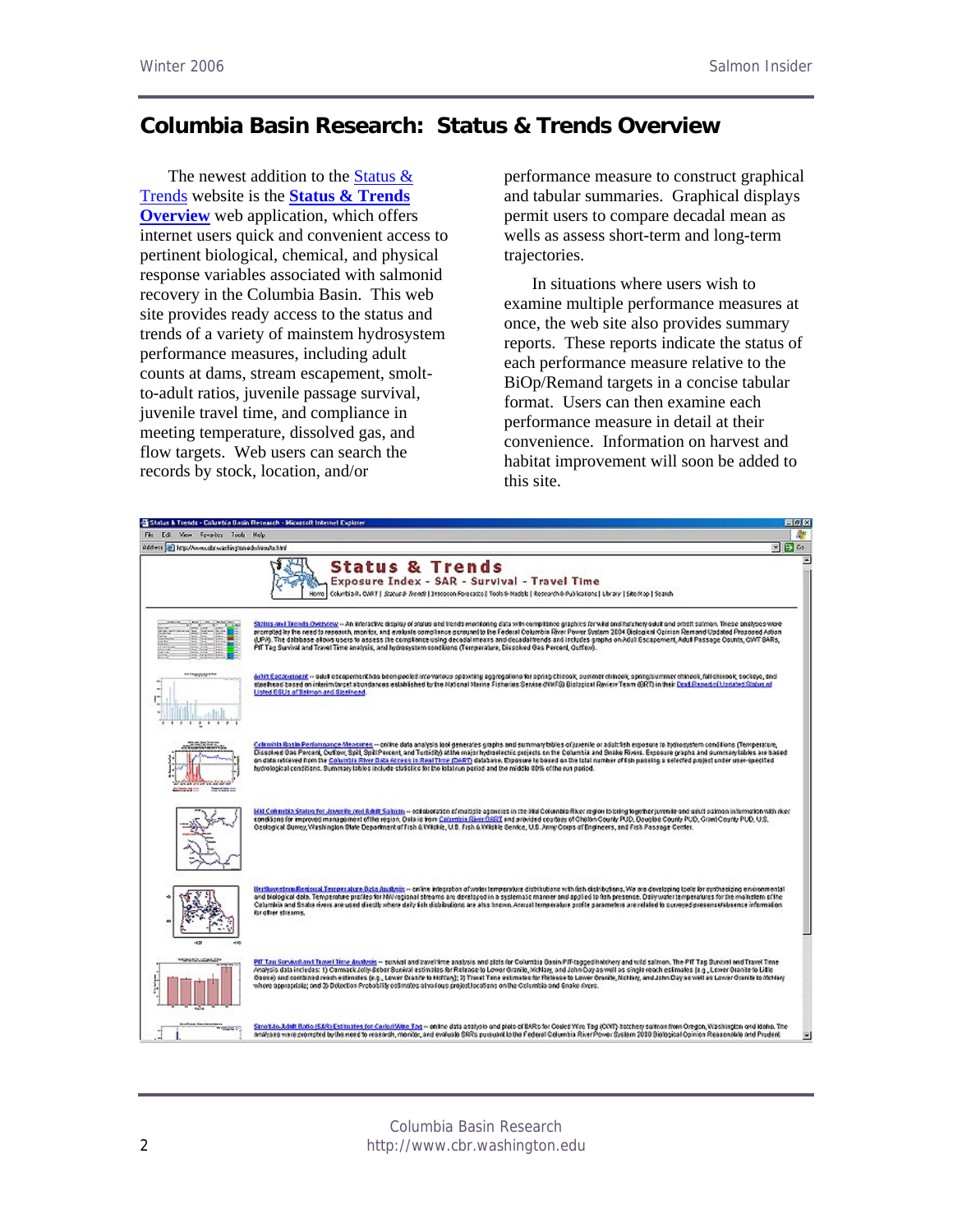# **Columbia Basin Research: Status & Trends Overview**

The newest addition to the Status  $\&$ [Trends](http://www.cbr.washington.edu/results.html) website is the **[Status & Trends](http://www.cbr.washington.edu/trends/index.php)  [Overview](http://www.cbr.washington.edu/trends/index.php)** web application, which offers internet users quick and convenient access to pertinent biological, chemical, and physical response variables associated with salmonid recovery in the Columbia Basin. This web site provides ready access to the status and trends of a variety of mainstem hydrosystem performance measures, including adult counts at dams, stream escapement, smoltto-adult ratios, juvenile passage survival, juvenile travel time, and compliance in meeting temperature, dissolved gas, and flow targets. Web users can search the records by stock, location, and/or

performance measure to construct graphical and tabular summaries. Graphical displays permit users to compare decadal mean as wells as assess short-term and long-term trajectories.

In situations where users wish to examine multiple performance measures at once, the web site also provides summary reports. These reports indicate the status of each performance measure relative to the BiOp/Remand targets in a concise tabular format. Users can then examine each performance measure in detail at their convenience. Information on harvest and habitat improvement will soon be added to this site.

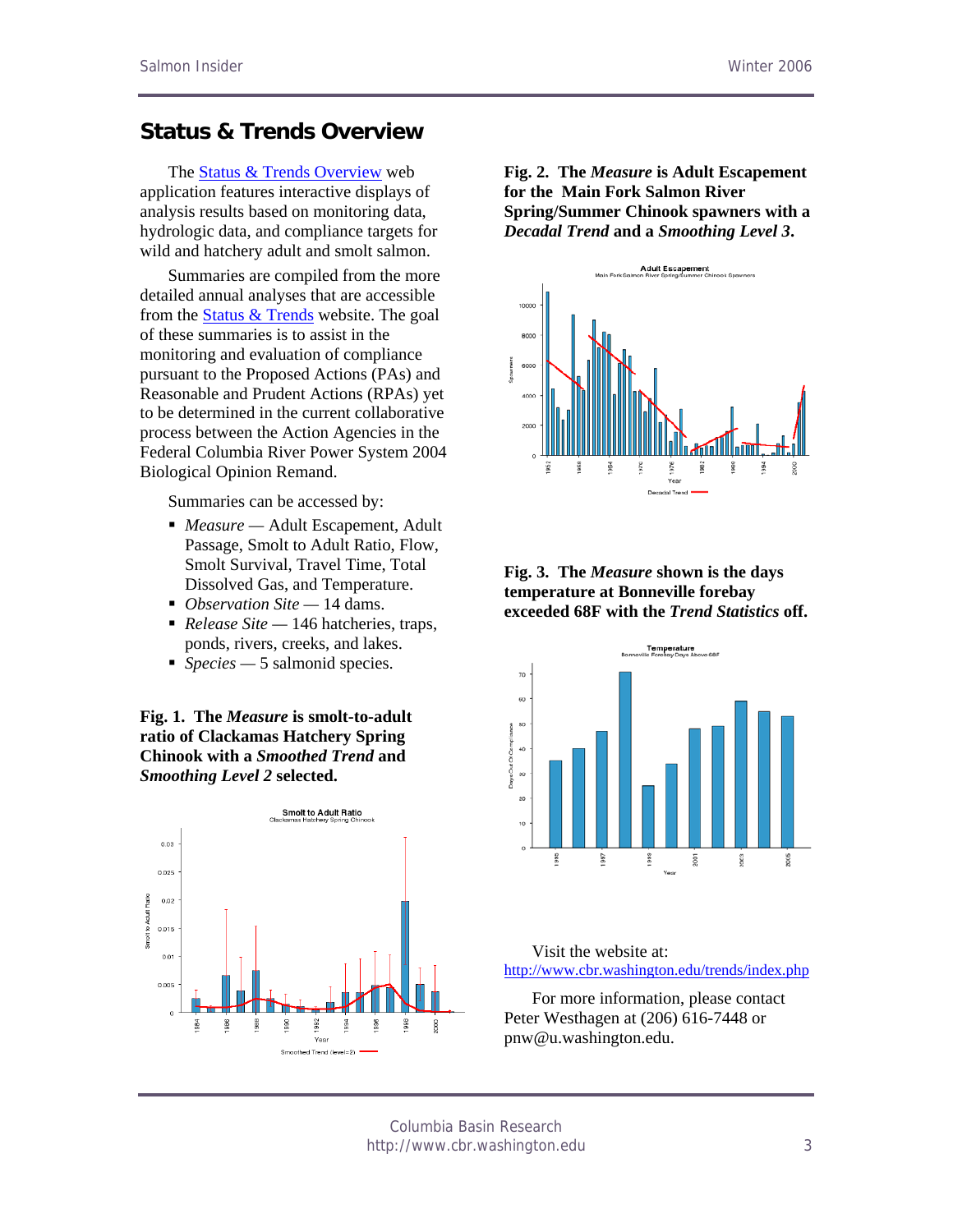## **Status & Trends Overview**

The [Status & Trends Overview](http://www.cbr.washington.edu/trends/index.php) web application features interactive displays of analysis results based on monitoring data, hydrologic data, and compliance targets for wild and hatchery adult and smolt salmon.

Summaries are compiled from the more detailed annual analyses that are accessible from the [Status & Trends](http://www.cbr.washington.edu/results.html) website. The goal of these summaries is to assist in the monitoring and evaluation of compliance pursuant to the Proposed Actions (PAs) and Reasonable and Prudent Actions (RPAs) yet to be determined in the current collaborative process between the Action Agencies in the Federal Columbia River Power System 2004 Biological Opinion Remand.

Summaries can be accessed by:

- *Measure* Adult Escapement, Adult Passage, Smolt to Adult Ratio, Flow, Smolt Survival, Travel Time, Total Dissolved Gas, and Temperature.
- *Observation Site* 14 dams.
- *Release Site* 146 hatcheries, traps, ponds, rivers, creeks, and lakes.
- *Species* 5 salmonid species.

**Fig. 1. The** *Measure* **is smolt-to-adult ratio of Clackamas Hatchery Spring Chinook with a** *Smoothed Trend* **and**  *Smoothing Level 2* **selected.** 



**Fig. 2. The** *Measure* **is Adult Escapement for the Main Fork Salmon River Spring/Summer Chinook spawners with a**  *Decadal Trend* **and a** *Smoothing Level 3***.** 



#### **Fig. 3. The** *Measure* **shown is the days temperature at Bonneville forebay exceeded 68F with the** *Trend Statistics* **off.**



Visit the website at: <http://www.cbr.washington.edu/trends/index.php>

For more information, please contact Peter Westhagen at (206) 616-7448 or pnw@u.washington.edu.